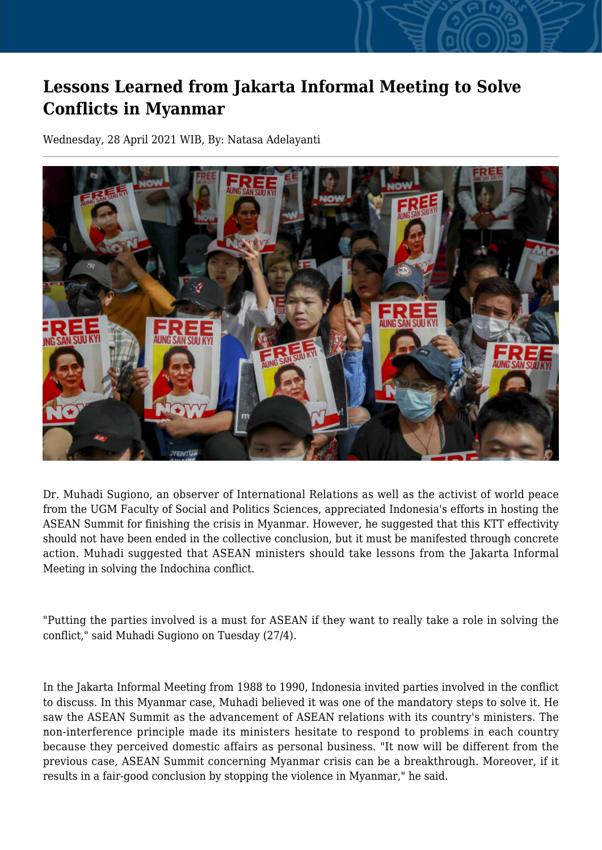## **Lessons Learned from Jakarta Informal Meeting to Solve Conflicts in Myanmar**

Wednesday, 28 April 2021 WIB, By: Natasa Adelayanti



Dr. Muhadi Sugiono, an observer of International Relations as well as the activist of world peace from the UGM Faculty of Social and Politics Sciences, appreciated Indonesia's efforts in hosting the ASEAN Summit for finishing the crisis in Myanmar. However, he suggested that this KTT effectivity should not have been ended in the collective conclusion, but it must be manifested through concrete action. Muhadi suggested that ASEAN ministers should take lessons from the Jakarta Informal Meeting in solving the Indochina conflict.

"Putting the parties involved is a must for ASEAN if they want to really take a role in solving the conflict," said Muhadi Sugiono on Tuesday (27/4).

In the Jakarta Informal Meeting from 1988 to 1990, Indonesia invited parties involved in the conflict to discuss. In this Myanmar case, Muhadi believed it was one of the mandatory steps to solve it. He saw the ASEAN Summit as the advancement of ASEAN relations with its country's ministers. The non-interference principle made its ministers hesitate to respond to problems in each country because they perceived domestic affairs as personal business. "It now will be different from the previous case, ASEAN Summit concerning Myanmar crisis can be a breakthrough. Moreover, if it results in a fair-good conclusion by stopping the violence in Myanmar," he said.